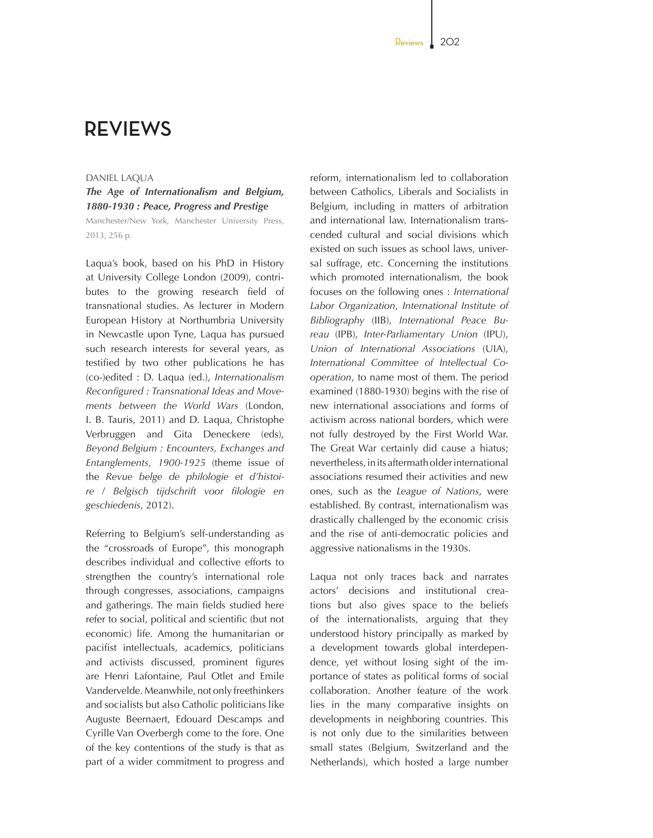## **REVIEWS**

## DANIEL LAQUA

*The Age of Internationalism and Belgium, 1880-1930 : Peace, Progress and Prestige* Manchester/New York, Manchester University Press, 2013, 256 p.

Laqua's book, based on his PhD in History at University College London (2009), contributes to the growing research field of transnational studies. As lecturer in Modern European History at Northumbria University in Newcastle upon Tyne, Laqua has pursued such research interests for several years, as testified by two other publications he has (co-)edited : D. Laqua (ed.), *Internationalism Reconfigured : Transnational Ideas and Movements between the World Wars* (London, I. B. Tauris, 2011) and D. Laqua, Christophe Verbruggen and Gita Deneckere (eds), *Beyond Belgium : En counters, Exchanges and Entanglements, 1900-1925* (theme issue of the *Revue belge de philologie et d'histoire* / *Belgisch tijdschrift voor filologie en geschiedenis*, 2012).

Referring to Belgium's self-understanding as the "crossroads of Europe", this monograph describes individual and collective efforts to strengthen the country's international role through congresses, associations, campaigns and gatherings. The main fields studied here refer to social, political and scientific (but not economic) life. Among the humanitarian or pacifist intellectuals, academics, politicians and activists discussed, prominent figures are Henri Lafontaine, Paul Otlet and Emile Vandervelde. Meanwhile, not only freethinkers and socialists but also Catholic politicians like Auguste Beernaert, Edouard Descamps and Cyrille Van Overbergh come to the fore. One of the key contentions of the study is that as part of a wider commitment to progress and reform, internationalism led to collaboration between Catholics, Liberals and Socialists in Belgium, including in matters of arbitration and international law. Internationalism transcended cultural and social divisions which existed on such issues as school laws, universal suffrage, etc. Concerning the institutions which promoted internationalism, the book focuses on the following ones : *International Labor Organization*, *International Institute of Bibliography* (IIB), *International Peace Bureau* (IPB), *InterParliamentary Union* (IPU), *Union of International Associations* (UIA), *International Committee of Intellectual Cooperation*, to name most of them. The period examined (1880-1930) begins with the rise of new international associations and forms of activism across national borders, which were not fully destroyed by the First World War. The Great War certainly did cause a hiatus; nevertheless, in its aftermath older international associations resumed their activities and new ones, such as the *League of Nations*, were established. By contrast, internationalism was drastically challenged by the economic crisis and the rise of anti-democratic policies and aggressive nationalisms in the 1930s.

Laqua not only traces back and narrates actors' decisions and institutional creations but also gives space to the beliefs of the internationalists, arguing that they understood history principally as marked by a development towards global interdependence, yet without losing sight of the importance of states as political forms of social collaboration. Another feature of the work lies in the many comparative insights on developments in neighboring countries. This is not only due to the similarities between small states (Belgium, Switzerland and the Netherlands), which hosted a large number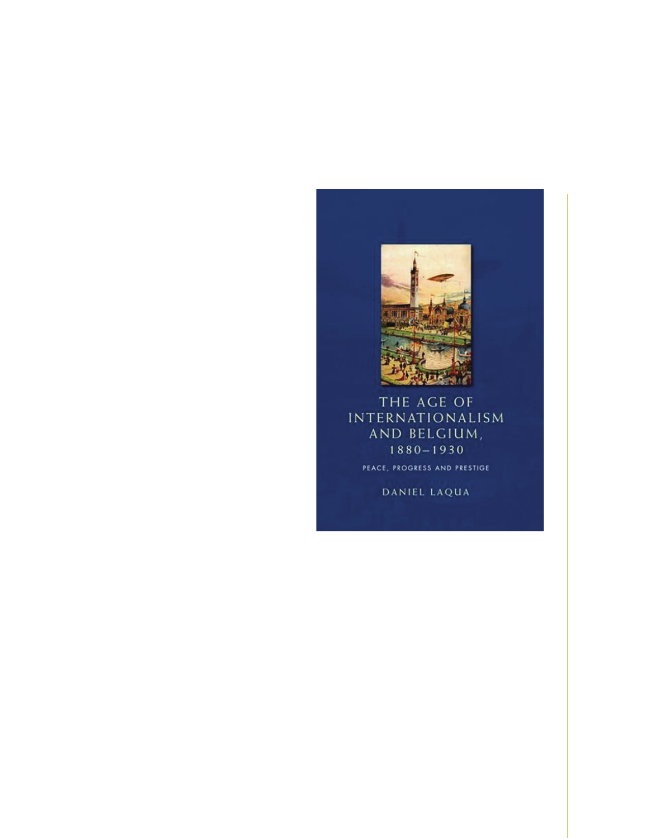

THE AGE OF **INTERNATIONALISM** AND BELGIUM,  $1880 - 1930$ PEACE, PROGRESS AND PRESTIGE

DANIEL LAQUA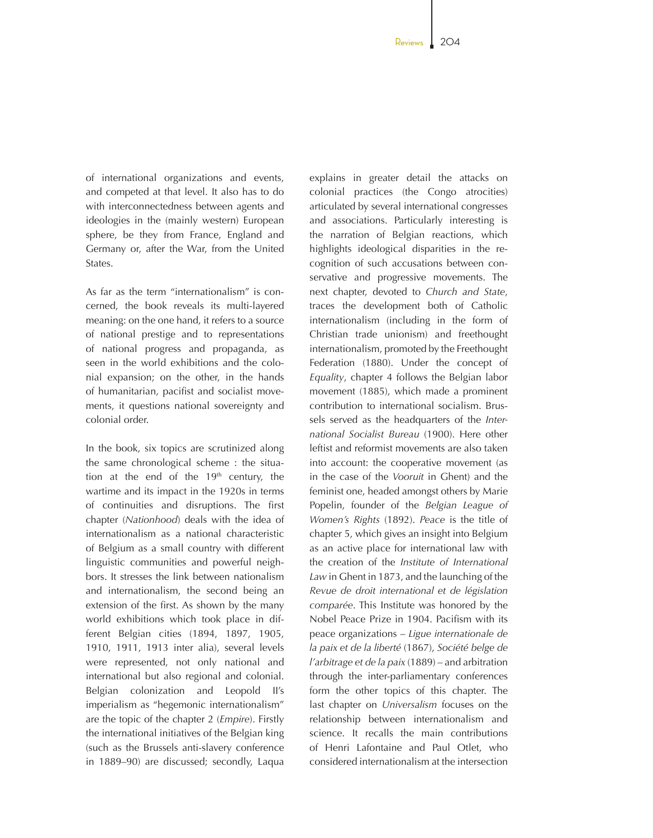of international organizations and events, and competed at that level. It also has to do with interconnectedness between agents and ideologies in the (mainly western) European sphere, be they from France, England and Germany or, after the War, from the United States.

As far as the term "internationalism" is concerned, the book reveals its multi-layered meaning: on the one hand, it refers to a source of national prestige and to representations of national progress and propaganda, as seen in the world exhibitions and the colonial expansion; on the other, in the hands of humanitarian, pacifist and socialist movements, it questions national sovereignty and colonial order.

In the book, six topics are scrutinized along the same chronological scheme : the situation at the end of the  $19<sup>th</sup>$  century, the wartime and its impact in the 1920s in terms of continuities and disruptions. The first chapter (*Nationhood*) deals with the idea of internationalism as a national characteristic of Belgium as a small country with different linguistic communities and powerful neighbors. It stresses the link between nationalism and internationalism, the second being an extension of the first. As shown by the many world exhibitions which took place in different Belgian cities (1894, 1897, 1905, 1910, 1911, 1913 inter alia), several levels were represented, not only national and international but also regional and colonial. Belgian colonization and Leopold II's imperialism as "hegemonic internationalism" are the topic of the chapter 2 (*Empire*). Firstly the international initiatives of the Belgian king (such as the Brussels anti-slavery conference in 1889–90) are discussed; secondly, Laqua

explains in greater detail the attacks on colonial practices (the Congo atrocities) articulated by several international congresses and associations. Particularly interesting is the narration of Belgian reactions, which highlights ideological disparities in the recognition of such accusations between conservative and progressive movements. The next chapter, devoted to *Church and State*, traces the development both of Catholic internationalism (including in the form of Christian trade unionism) and freethought internationalism, promoted by the Freethought Federation (1880). Under the concept of *Equality*, chapter 4 follows the Belgian labor movement (1885), which made a prominent contribution to international socialism. Brussels served as the headquarters of the *International Socialist Bureau* (1900). Here other leftist and reformist movements are also taken into account: the cooperative movement (as in the case of the *Vooruit* in Ghent) and the feminist one, headed amongst others by Marie Popelin, founder of the *Belgian League of Women's Rights* (1892). *Peace* is the title of chapter 5, which gives an insight into Belgium as an active place for international law with the creation of the *Institute of International Law* in Ghent in 1873, and the launching of the *Revue de droit international et de législation comparée*. This Institute was honored by the Nobel Peace Prize in 1904. Pacifism with its peace organizations – *Ligue internationale de la paix et de la liberté* (1867), *Société belge de l'arbitrage et de la paix* (1889) – and arbitration through the inter-parliamentary conferences form the other topics of this chapter. The last chapter on *Universalism* focuses on the relationship between internationalism and science. It recalls the main contributions of Henri Lafontaine and Paul Otlet, who considered internationalism at the intersection